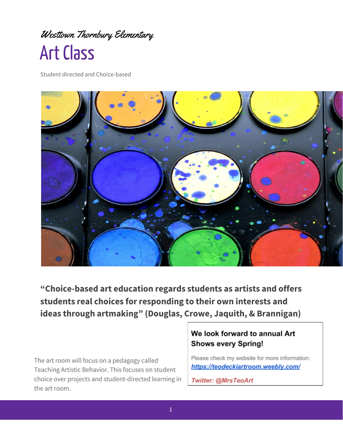# Westtown Thornbury Elementary **Art Class**

Student directed and Choice-based



**"Choice-based art education regards students as artists and offers students real choices for responding to their own interests and ideas through artmaking" (Douglas, Crowe, Jaquith, & Brannigan)**

The art room will focus on a pedagogy called Teaching Artistic Behavior. This focuses on student choice over projects and student-directed learning in the art room.

## We look forward to annual Art **Shows every Spring!**

Please check my website for more information: https://teodeckiartroom.weebly.com/

Twitter: @MrsTeoArt